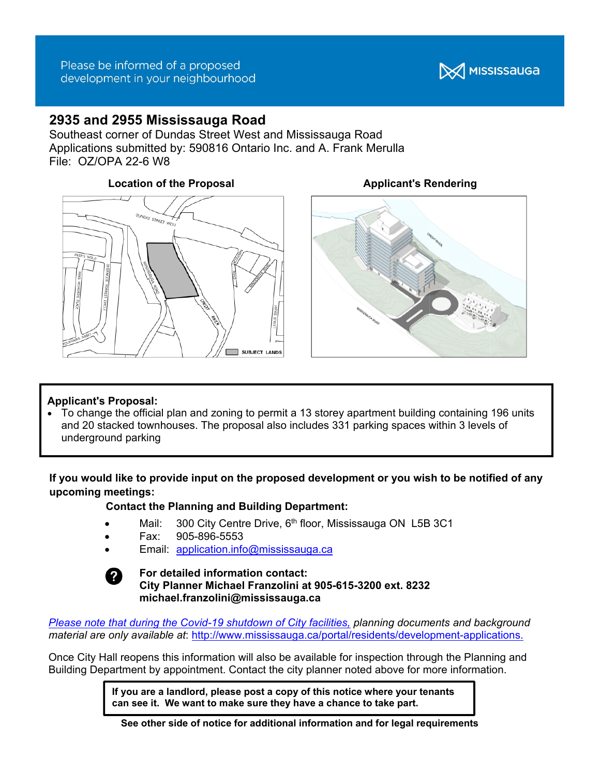

# **2935 and 2955 Mississauga Road**

Southeast corner of Dundas Street West and Mississauga Road Applications submitted by: 590816 Ontario Inc. and A. Frank Merulla File: OZ/OPA 22-6 W8

# **Location of the Proposal Contract Applicant's Rendering**





## **Applicant's Proposal:**

• To change the official plan and zoning to permit a 13 storey apartment building containing 196 units and 20 stacked townhouses. The proposal also includes 331 parking spaces within 3 levels of underground parking

**If you would like to provide input on the proposed development or you wish to be notified of any upcoming meetings:** 

## **Contact the Planning and Building Department:**

- Mail: 300 City Centre Drive, 6<sup>th</sup> floor, Mississauga ON L5B 3C1
- Fax: 905-896-5553
- Email: application.info@mississauga.ca



#### **For detailed information contact: City Planner Michael Franzolini at 905-615-3200 ext. 8232 michael.franzolini@mississauga.ca**

*Please note that during the Covid-19 shutdown of City facilities, planning documents and background material are only available at*: http://www.mississauga.ca/portal/residents/development-applications.

Once City Hall reopens this information will also be available for inspection through the Planning and Building Department by appointment. Contact the city planner noted above for more information.

> **If you are a landlord, please post a copy of this notice where your tenants can see it. We want to make sure they have a chance to take part.**